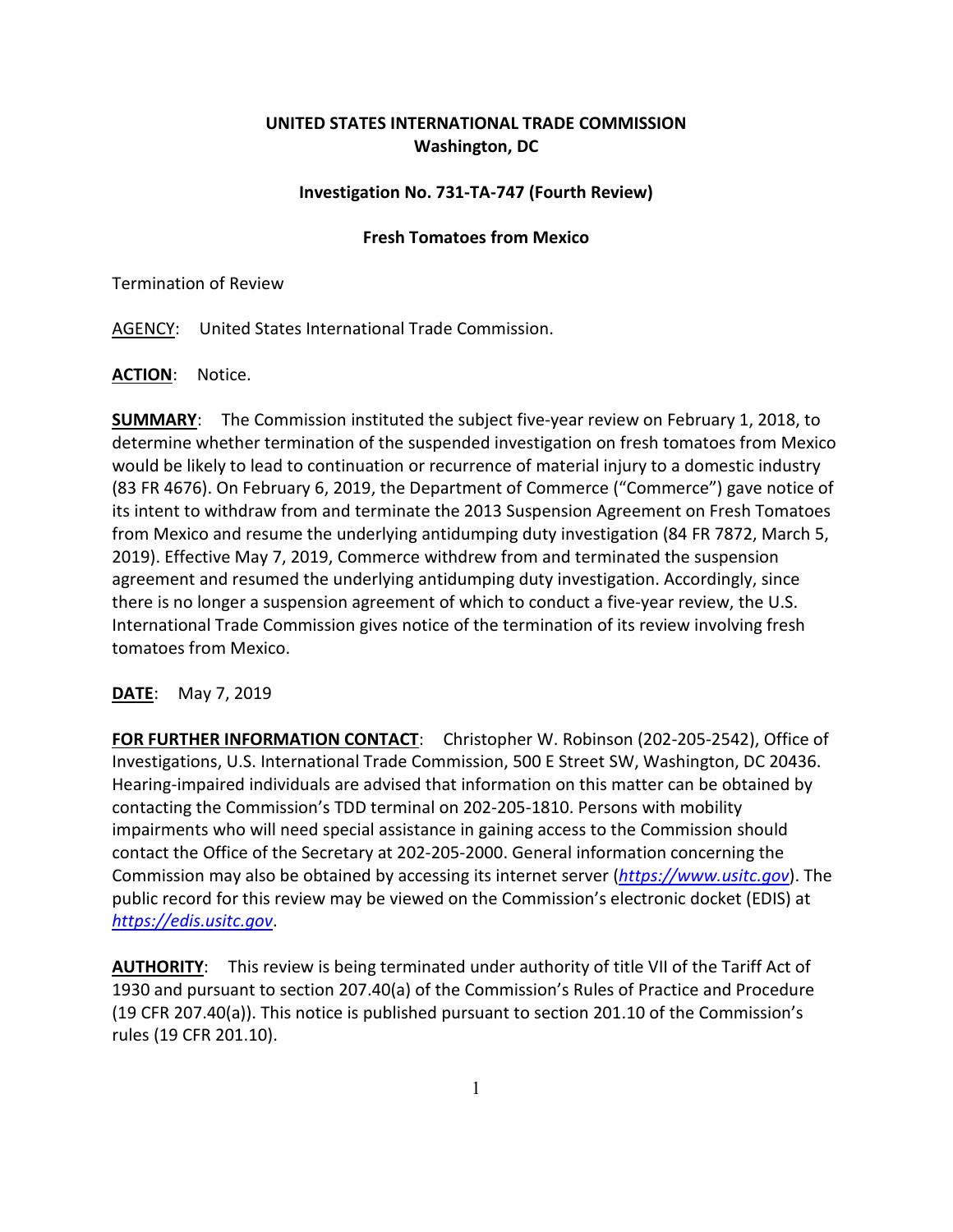## **UNITED STATES INTERNATIONAL TRADE COMMISSION Washington, DC**

## **Investigation No. 731-TA-747 (Fourth Review)**

## **Fresh Tomatoes from Mexico**

Termination of Review

AGENCY: United States International Trade Commission.

**ACTION**: Notice.

**SUMMARY**: The Commission instituted the subject five-year review on February 1, 2018, to determine whether termination of the suspended investigation on fresh tomatoes from Mexico would be likely to lead to continuation or recurrence of material injury to a domestic industry (83 FR 4676). On February 6, 2019, the Department of Commerce ("Commerce") gave notice of its intent to withdraw from and terminate the 2013 Suspension Agreement on Fresh Tomatoes from Mexico and resume the underlying antidumping duty investigation (84 FR 7872, March 5, 2019). Effective May 7, 2019, Commerce withdrew from and terminated the suspension agreement and resumed the underlying antidumping duty investigation. Accordingly, since there is no longer a suspension agreement of which to conduct a five-year review, the U.S. International Trade Commission gives notice of the termination of its review involving fresh tomatoes from Mexico.

## **DATE**: May 7, 2019

**FOR FURTHER INFORMATION CONTACT**: Christopher W. Robinson (202-205-2542), Office of Investigations, U.S. International Trade Commission, 500 E Street SW, Washington, DC 20436. Hearing-impaired individuals are advised that information on this matter can be obtained by contacting the Commission's TDD terminal on 202-205-1810. Persons with mobility impairments who will need special assistance in gaining access to the Commission should contact the Office of the Secretary at 202-205-2000. General information concerning the Commission may also be obtained by accessing its internet server (*[https://www.usitc.gov](https://www.usitc.gov/)*). The public record for this review may be viewed on the Commission's electronic docket (EDIS) at *[https://edis.usitc.gov](https://edis.usitc.gov/)*.

AUTHORITY: This review is being terminated under authority of title VII of the Tariff Act of 1930 and pursuant to section 207.40(a) of the Commission's Rules of Practice and Procedure (19 CFR 207.40(a)). This notice is published pursuant to section 201.10 of the Commission's rules (19 CFR 201.10).